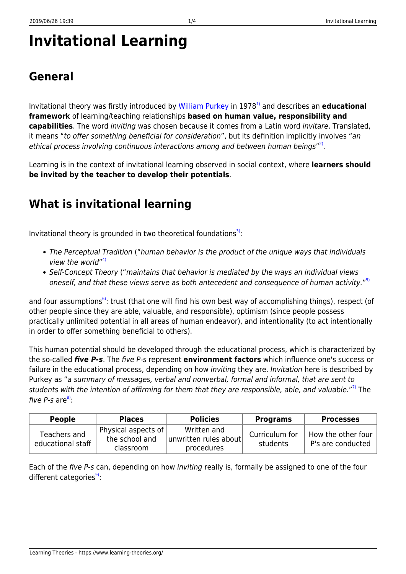# **Invitational Learning**

### **General**

Invitational theory was firstly introduced by [William Purkey](http://www.invitationaleducation.net/alliance/wwp.pdf) in 1978[1\)](#page--1-0) and describes an **educational framework** of learning/teaching relationships **based on human value, responsibility and capabilities**. The word inviting was chosen because it comes from a Latin word invitare. Translated, it means "to offer something beneficial for consideration", but its definition implicitly involves "an ethical process involving continuous interactions among and between human beings"<sup>[2\)](#page--1-0)</sup>.

Learning is in the context of invitational learning observed in social context, where **learners should be invited by the teacher to develop their potentials**.

## **What is invitational learning**

Invitational theory is grounded in two theoretical foundations<sup>[3\)](#page--1-0)</sup>:

- The Perceptual Tradition ("human behavior is the product of the unique ways that individuals view the world"<sup>[4\)](#page--1-0)</sup>
- Self-Concept Theory ("maintains that behavior is mediated by the ways an individual views oneself, and that these views serve as both antecedent and consequence of human activity."<sup>[5\)](#page--1-0)</sup>

and four assumptions<sup>6</sup>: trust (that one will find his own best way of accomplishing things), respect (of other people since they are able, valuable, and responsible), optimism (since people possess practically unlimited potential in all areas of human endeavor), and intentionality (to act intentionally in order to offer something beneficial to others).

This human potential should be developed through the educational process, which is characterized by the so-called *five P-s*. The five P-s represent **environment factors** which influence one's success or failure in the educational process, depending on how *inviting* they are. *Invitation* here is described by Purkey as "a summary of messages, verbal and nonverbal, formal and informal, that are sent to students with the intention of affirming for them that they are responsible, able, and valuable."<sup>[7\)](#page--1-0)</sup> The five  $P$ -s are $^{8}$ :

| <b>People</b>                     | <b>Places</b>                                          | <b>Policies</b>                                    | <b>Programs</b>            | <b>Processes</b>                        |
|-----------------------------------|--------------------------------------------------------|----------------------------------------------------|----------------------------|-----------------------------------------|
| Teachers and<br>educational staff | Physical aspects of $ $<br>the school and<br>classroom | Written and<br>unwritten rules about<br>procedures | Curriculum for<br>students | How the other four<br>P's are conducted |

Each of the five P-s can, depending on how inviting really is, formally be assigned to one of the four different categories $9$ :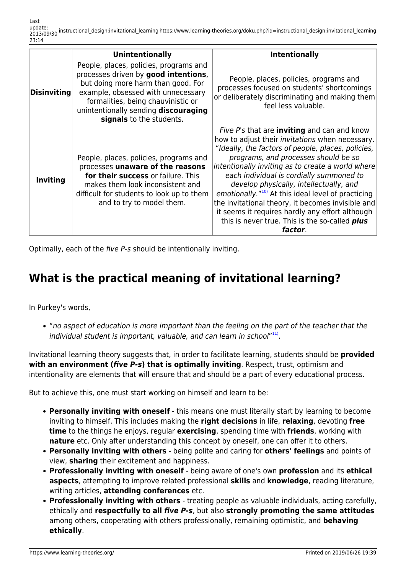|                    | <b>Unintentionally</b>                                                                                                                                                                                                                                               | <b>Intentionally</b>                                                                                                                                                                                                                                                                                                                                                                                                                                                                                                                                                                  |
|--------------------|----------------------------------------------------------------------------------------------------------------------------------------------------------------------------------------------------------------------------------------------------------------------|---------------------------------------------------------------------------------------------------------------------------------------------------------------------------------------------------------------------------------------------------------------------------------------------------------------------------------------------------------------------------------------------------------------------------------------------------------------------------------------------------------------------------------------------------------------------------------------|
| <b>Disinviting</b> | People, places, policies, programs and<br>processes driven by good intentions,<br>but doing more harm than good. For<br>example, obsessed with unnecessary<br>formalities, being chauvinistic or<br>unintentionally sending discouraging<br>signals to the students. | People, places, policies, programs and<br>processes focused on students' shortcomings<br>or deliberately discriminating and making them<br>feel less valuable.                                                                                                                                                                                                                                                                                                                                                                                                                        |
| <b>Inviting</b>    | People, places, policies, programs and<br>processes unaware of the reasons<br>for their success or failure. This<br>makes them look inconsistent and<br>difficult for students to look up to them<br>and to try to model them.                                       | Five P's that are <b>inviting</b> and can and know<br>how to adjust their invitations when necessary.<br>"Ideally, the factors of people, places, policies,<br>programs, and processes should be so<br>intentionally inviting as to create a world where<br>each individual is cordially summoned to<br>develop physically, intellectually, and<br>emotionally." <sup>10</sup> At this ideal level of practicing<br>the invitational theory, it becomes invisible and<br>it seems it requires hardly any effort although<br>this is never true. This is the so-called plus<br>factor. |

Optimally, each of the five P-s should be intentionally inviting.

#### **What is the practical meaning of invitational learning?**

In Purkey's words,

"no aspect of education is more important than the feeling on the part of the teacher that the individual student is important, valuable, and can learn in school"[11\)](#page--1-0).

Invitational learning theory suggests that, in order to facilitate learning, students should be **provided with an environment (***five P-s***) that is optimally inviting**. Respect, trust, optimism and intentionality are elements that will ensure that and should be a part of every educational process.

But to achieve this, one must start working on himself and learn to be:

- **Personally inviting with oneself** this means one must literally start by learning to become inviting to himself. This includes making the **right decisions** in life, **relaxing**, devoting **free time** to the things he enjoys, regular **exercising**, spending time with **friends**, working with **nature** etc. Only after understanding this concept by oneself, one can offer it to others.
- **Personally inviting with others** being polite and caring for **others' feelings** and points of view, **sharing** their excitement and happiness.
- **Professionally inviting with oneself** being aware of one's own **profession** and its **ethical aspects**, attempting to improve related professional **skills** and **knowledge**, reading literature, writing articles, **attending conferences** etc.
- **Professionally inviting with others** treating people as valuable individuals, acting carefully, ethically and **respectfully to all** *five P-s*, but also **strongly promoting the same attitudes** among others, cooperating with others professionally, remaining optimistic, and **behaving ethically**.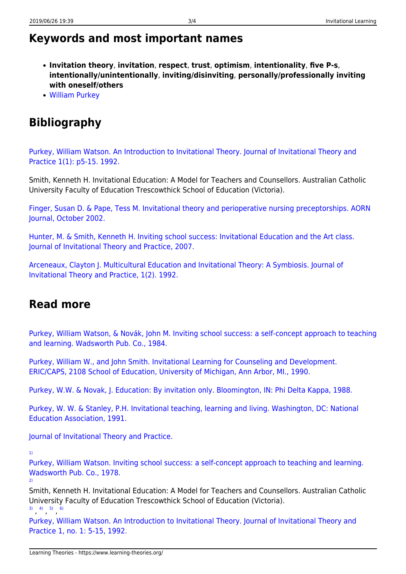#### **Keywords and most important names**

- **Invitation theory**, **invitation**, **respect**, **trust**, **optimism**, **intentionality**, **five P-s**, **intentionally/unintentionally**, **inviting/disinviting**, **personally/professionally inviting with oneself/others**
- [William Purkey](http://www.invitationaleducation.net/alliance/wwp.pdf)

#### **Bibliography**

[Purkey, William Watson. An Introduction to Invitational Theory. Journal of Invitational Theory and](http://medicine.nova.edu/~danshaw/jitp/archive/JITP_V1_N1.pdf) [Practice 1\(1\): p5-15. 1992.](http://medicine.nova.edu/~danshaw/jitp/archive/JITP_V1_N1.pdf)

Smith, Kenneth H. Invitational Education: A Model for Teachers and Counsellors. Australian Catholic University Faculty of Education Trescowthick School of Education (Victoria).

[Finger, Susan D. & Pape, Tess M. Invitational theory and perioperative nursing preceptorships. AORN](http://www.ncbi.nlm.nih.gov/pubmed/12382467) [Journal, October 2002.](http://www.ncbi.nlm.nih.gov/pubmed/12382467)

[Hunter, M. & Smith, Kenneth H. Inviting school success: Invitational Education and the Art class.](http://files.eric.ed.gov/fulltext/EJ791536.pdf) [Journal of Invitational Theory and Practice, 2007.](http://files.eric.ed.gov/fulltext/EJ791536.pdf)

[Arceneaux, Clayton J. Multicultural Education and Invitational Theory: A Symbiosis. Journal of](http://eric.ed.gov/?id=EJ479007) [Invitational Theory and Practice, 1\(2\). 1992.](http://eric.ed.gov/?id=EJ479007)

#### **Read more**

[Purkey, William Watson, & Novák, John M. Inviting school success: a self-concept approach to teaching](http://www.amazon.com/Inviting-School-Success-Self-Concept-Democratic/dp/0534504191#reader_0534504191) [and learning. Wadsworth Pub. Co., 1984.](http://www.amazon.com/Inviting-School-Success-Self-Concept-Democratic/dp/0534504191#reader_0534504191)

[Purkey, William W., and John Smith. Invitational Learning for Counseling and Development.](http://www.eric.ed.gov/ERICWebPortal/contentdelivery/servlet/ERICServlet?accno=ED314708) [ERIC/CAPS, 2108 School of Education, University of Michigan, Ann Arbor, MI., 1990.](http://www.eric.ed.gov/ERICWebPortal/contentdelivery/servlet/ERICServlet?accno=ED314708)

[Purkey, W.W. & Novak, J. Education: By invitation only. Bloomington, IN: Phi Delta Kappa, 1988.](http://www.eric.ed.gov/PDFS/ED296471.pdf)

[Purkey, W. W. & Stanley, P.H. Invitational teaching, learning and living. Washington, DC: National](http://www.eric.ed.gov/PDFS/ED340689.pdf) [Education Association, 1991.](http://www.eric.ed.gov/PDFS/ED340689.pdf)

[Journal of Invitational Theory and Practice.](http://medicine.nova.edu/~danshaw/jitp/)

[1\)](#page--1-0)

[Purkey, William Watson. Inviting school success: a self-concept approach to teaching and learning.](http://books.google.com/books?id=wFwEAQAAIAAJ) [Wadsworth Pub. Co., 1978.](http://books.google.com/books?id=wFwEAQAAIAAJ) [2\)](#page--1-0)

Smith, Kenneth H. Invitational Education: A Model for Teachers and Counsellors. Australian Catholic University Faculty of Education Trescowthick School of Education (Victoria).  $\begin{array}{cccc} 3) & 4) & 5) & 6 \end{array}$  $\begin{array}{cccc} 3) & 4) & 5) & 6 \end{array}$  $\begin{array}{cccc} 3) & 4) & 5) & 6 \end{array}$  $\begin{array}{cccc} 3) & 4) & 5) & 6 \end{array}$  $\begin{array}{cccc} 3) & 4) & 5) & 6 \end{array}$  $\begin{array}{cccc} 3) & 4) & 5) & 6 \end{array}$  $\begin{array}{cccc} 3) & 4) & 5) & 6 \end{array}$ 

[Purkey, William Watson. An Introduction to Invitational Theory. Journal of Invitational Theory and](http://medicine.nova.edu/~danshaw/jitp/archive/JITP_V1_N1.pdf) [Practice 1, no. 1: 5-15, 1992.](http://medicine.nova.edu/~danshaw/jitp/archive/JITP_V1_N1.pdf)